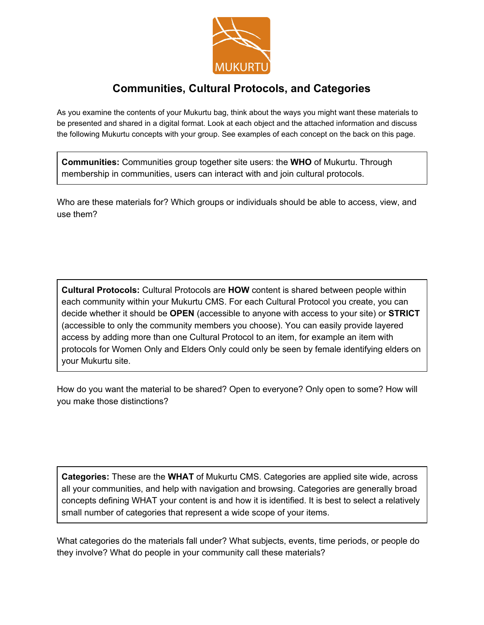

## **Communities, Cultural Protocols, and Categories**

As you examine the contents of your Mukurtu bag, think about the ways you might want these materials to be presented and shared in a digital format. Look at each object and the attached information and discuss the following Mukurtu concepts with your group. See examples of each concept on the back on this page.

**Communities:** Communities group together site users: the **WHO**of Mukurtu. Through membership in communities, users can interact with and join cultural protocols.

Who are these materials for? Which groups or individuals should be able to access, view, and use them?

**Cultural Protocols:** Cultural Protocols are **HOW**content is shared between people within each community within your Mukurtu CMS. For each Cultural Protocol you create, you can decide whether it should be **OPEN**(accessible to anyone with access to your site) or **STRICT** (accessible to only the community members you choose). You can easily provide layered access by adding more than one Cultural Protocol to an item, for example an item with protocols for Women Only and Elders Only could only be seen by female identifying elders on your Mukurtu site.

How do you want the material to be shared? Open to everyone? Only open to some? How will you make those distinctions?

**Categories:** These are the **WHAT**of Mukurtu CMS. Categories are applied site wide, across all your communities, and help with navigation and browsing. Categories are generally broad concepts defining WHAT your content is and how it is identified. It is best to select a relatively small number of categories that represent a wide scope of your items.

What categories do the materials fall under? What subjects, events, time periods, or people do they involve? What do people in your community call these materials?